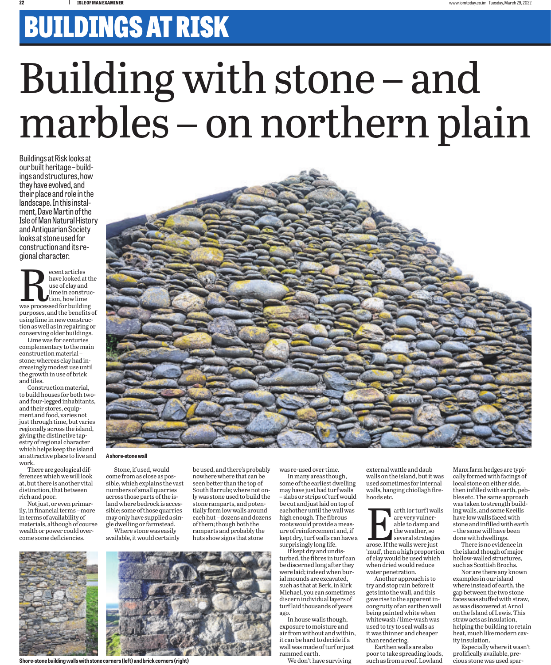## BUILDINGS AT RISK

## Building with stone – and marbles – on northern plain

Buildings at Risk looks at ings and structures, how they have evolved, and their place and role in the landscape. In this instalment, Dave Martin of the Isle of Man Natural History and Antiquarian Society looks at stone used for construction and its re- gional character.

ecent articles<br>have looked at the use of clay and<br>lime in construction, how lime<br>was processed for building have looked at the use of clay and lime in construction, how lime purposes, and the benefits of using lime in new construction as well as in repairing or conserving older buildings.

Lime was for centuries complementary to the main construction material – stone; whereas clay had increasingly modest use until the growth in use of brick and tiles.

Construction material, to build houses for both twoand four-legged inhabitants, and their stores, equipment and food, varies not just through time, but varies regionally across the island, giving the distinctive tapestry of regional character which helps keep the island an attractive place to live and work.

There are geological differences which we will look at, but there is another vital distinction, that between rich and poor.

Not just, or even primarily, in financial terms – more in terms of availability of materials, although of course wealth or power could overcome some deficiencies.



## **A shore-stone wall**

Stone, if used, would come from as close as possible, which explains the vast numbers of small quarries across those parts of the island where bedrock is accessible; some of those quarries may only have supplied a single dwelling or farmstead.

Where stone was easily available, it would certainly be used, and there's probably nowhere where that can be seen better than the top of South Barrule; where not only was stone used to build the stone ramparts, and potentially form low walls around each hut – dozens and dozens of them; though both the ramparts and probably the huts show signs that stone

**Shore-stone building walls with stone corners (left) and brick corners (right)**

some of the earliest dwelling may have just had turf walls – slabs or strips of turf would be cut and just laid on top of eachother until the wall was high enough. The fibrous roots would provide a measure of reinforcement and, if kept dry, turf walls can have a surprisingly long life.

was re-used over time. In many areas though,

If kept dry and undisturbed, the fibres in turf can be discerned long after they were laid; indeed when burial mounds are excavated, such as that at Berk, in Kirk Michael, you can sometimes discern individual layers of turf laid thousands of years ago.

In house walls though, exposure to moisture and air from without and within, it can be hard to decide if a wall was made of turf or just rammed earth.

We don't have surviving

external wattle and daub walls on the island, but it was used sometimes for internal walls, hanging chiollagh firehoods etc.

arth (or turf) walls<br>
are very vulnerable to damp and<br>
the weather, so<br>
several strategies<br>
arose. If the walls were just are very vulnerable to damp and the weather, so several strategies 'mud', then a high proportion of clay would be used which when dried would reduce water penetration.

Another approach is to try and stop rain before it gets into the wall, and this gave rise to the apparent incongruity of an earthen wall being painted white when whitewash / lime-wash was used to try to seal walls as it was thinner and cheaper than rendering.

Earthen walls are also poor to take spreading loads, such as from a roof. Lowland

Manx farm hedges are typically formed with facings of local stone on either side, then infilled with earth, pebbles etc. The same approach was taken to strength building walls, and some Keeills have low walls faced with stone and infilled with earth – the same will have been done with dwellings.

There is no evidence in the island though of major hollow-walled structures, such as Scottish Brochs.

Nor are there any known examples in our island where instead of earth, the gap between the two stone faces was stuffed with straw, as was discovered at Arnol on the Island of Lewis. This straw acts as insulation, helping the building to retain heat, much like modern cavity insulation.

Especially where it wasn't prolifically available, precious stone was used spar-